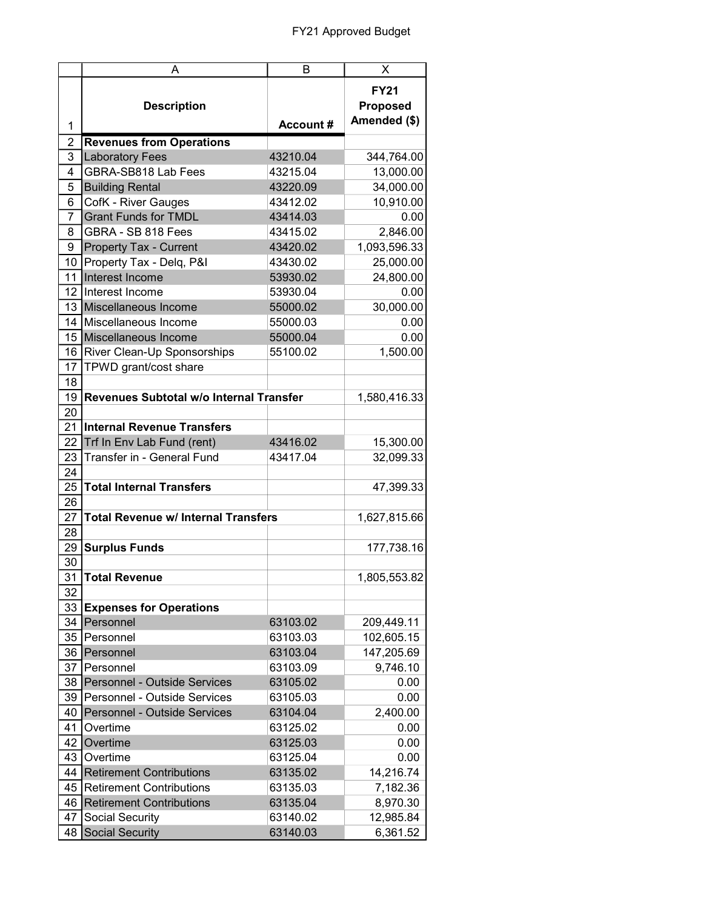|                 | A                                          | B               | X                                              |
|-----------------|--------------------------------------------|-----------------|------------------------------------------------|
| 1               | <b>Description</b>                         | <b>Account#</b> | <b>FY21</b><br><b>Proposed</b><br>Amended (\$) |
| $\overline{2}$  | <b>Revenues from Operations</b>            |                 |                                                |
| 3               | <b>Laboratory Fees</b>                     | 43210.04        | 344,764.00                                     |
| 4               | GBRA-SB818 Lab Fees                        | 43215.04        | 13,000.00                                      |
| 5               | <b>Building Rental</b>                     | 43220.09        | 34,000.00                                      |
| 6               | CofK - River Gauges                        | 43412.02        | 10,910.00                                      |
| $\overline{7}$  | <b>Grant Funds for TMDL</b>                | 43414.03        | 0.00                                           |
| 8               | GBRA - SB 818 Fees                         | 43415.02        | 2,846.00                                       |
| 9               | <b>Property Tax - Current</b>              | 43420.02        | 1,093,596.33                                   |
| 10 <sup>1</sup> | Property Tax - Delq, P&I                   | 43430.02        | 25,000.00                                      |
| 11              | Interest Income                            | 53930.02        | 24,800.00                                      |
|                 | 12 Interest Income                         | 53930.04        | 0.00                                           |
|                 | 13 Miscellaneous Income                    | 55000.02        | 30,000.00                                      |
| 14              | Miscellaneous Income                       | 55000.03        | 0.00                                           |
| 15              | Miscellaneous Income                       | 55000.04        | 0.00                                           |
| 16              | River Clean-Up Sponsorships                | 55100.02        | 1,500.00                                       |
| 17              | TPWD grant/cost share                      |                 |                                                |
| 18              |                                            |                 |                                                |
| 19              | Revenues Subtotal w/o Internal Transfer    |                 | 1,580,416.33                                   |
| 20              |                                            |                 |                                                |
| 21              | <b>Internal Revenue Transfers</b>          |                 |                                                |
| 22              | Trf In Env Lab Fund (rent)                 | 43416.02        | 15,300.00                                      |
| 23              | Transfer in - General Fund                 | 43417.04        | 32,099.33                                      |
| 24              |                                            |                 |                                                |
| 25              | <b>Total Internal Transfers</b>            |                 | 47,399.33                                      |
| 26              |                                            |                 |                                                |
| 27              | <b>Total Revenue w/ Internal Transfers</b> |                 | 1,627,815.66                                   |
| 28              |                                            |                 |                                                |
| 29              | <b>Surplus Funds</b>                       |                 | 177,738.16                                     |
| 30              |                                            |                 |                                                |
| 31              | Total Revenue                              |                 | 1,805,553.82                                   |
| 32              |                                            |                 |                                                |
| 33              | <b>Expenses for Operations</b>             |                 |                                                |
| 34              | Personnel                                  | 63103.02        | 209,449.11                                     |
| 35              | Personnel                                  | 63103.03        | 102,605.15                                     |
| 36              | Personnel                                  | 63103.04        | 147,205.69                                     |
| 37              | Personnel                                  | 63103.09        |                                                |
|                 |                                            |                 | 9,746.10                                       |
| 38              | Personnel - Outside Services               | 63105.02        | 0.00                                           |
| 39              | Personnel - Outside Services               | 63105.03        | 0.00                                           |
| 40              | Personnel - Outside Services               | 63104.04        | 2,400.00                                       |
| 41              | Overtime                                   | 63125.02        | 0.00                                           |
| 42              | Overtime                                   | 63125.03        | 0.00                                           |
| 43              | Overtime                                   | 63125.04        | 0.00                                           |
| 44              | <b>Retirement Contributions</b>            | 63135.02        | 14,216.74                                      |
| 45              | <b>Retirement Contributions</b>            | 63135.03        | 7,182.36                                       |
| 46              | <b>Retirement Contributions</b>            | 63135.04        | 8,970.30                                       |
| 47              | Social Security                            | 63140.02        | 12,985.84                                      |
| 48              | <b>Social Security</b>                     | 63140.03        | 6,361.52                                       |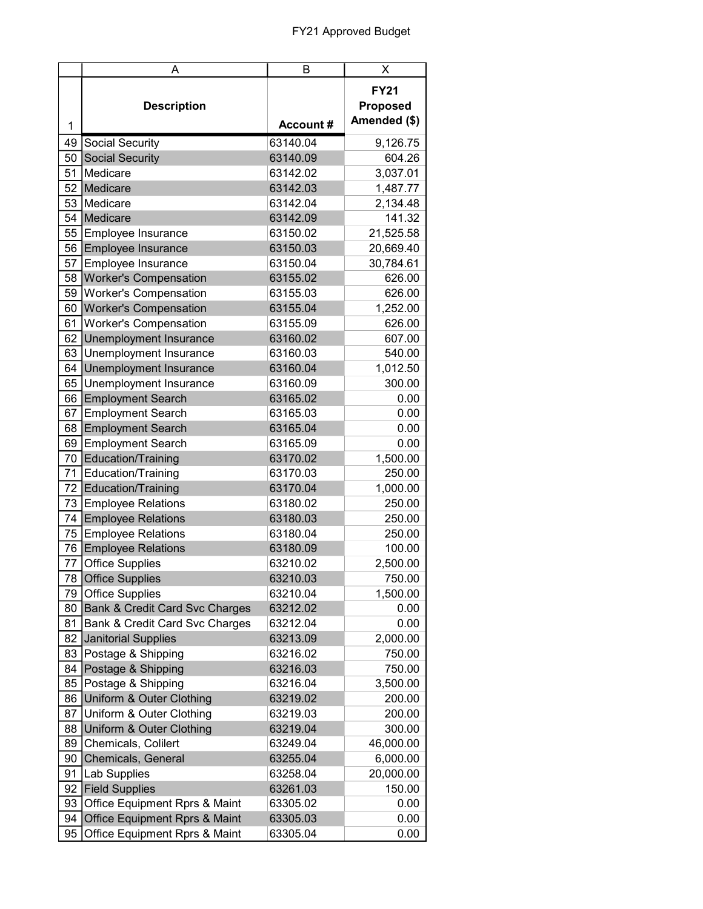|      | A                                         | Β               | х               |
|------|-------------------------------------------|-----------------|-----------------|
|      |                                           |                 | <b>FY21</b>     |
|      | <b>Description</b>                        |                 | <b>Proposed</b> |
|      |                                           | <b>Account#</b> | Amended (\$)    |
| 1    |                                           |                 |                 |
| 49   | Social Security                           | 63140.04        | 9,126.75        |
| 50   | <b>Social Security</b>                    | 63140.09        | 604.26          |
| 51   | Medicare                                  | 63142.02        | 3,037.01        |
| 52   | Medicare                                  | 63142.03        | 1,487.77        |
| 53   | Medicare                                  | 63142.04        | 2,134.48        |
|      | 54 Medicare                               | 63142.09        | 141.32          |
| 55   | Employee Insurance                        | 63150.02        | 21,525.58       |
| 56   | Employee Insurance                        | 63150.03        | 20,669.40       |
| 57   | Employee Insurance                        | 63150.04        | 30,784.61       |
| 58   | <b>Worker's Compensation</b>              | 63155.02        | 626.00          |
| 59   | <b>Worker's Compensation</b>              | 63155.03        | 626.00          |
| 60   | <b>Worker's Compensation</b>              | 63155.04        | 1,252.00        |
| 61   | <b>Worker's Compensation</b>              | 63155.09        | 626.00          |
| 62   | Unemployment Insurance                    | 63160.02        | 607.00          |
| 63   | Unemployment Insurance                    | 63160.03        | 540.00          |
| 64   | Unemployment Insurance                    | 63160.04        | 1,012.50        |
| 65   | Unemployment Insurance                    | 63160.09        | 300.00          |
| 66   | <b>Employment Search</b>                  | 63165.02        | 0.00            |
| 67   | <b>Employment Search</b>                  | 63165.03        | 0.00            |
| 68   | <b>Employment Search</b>                  | 63165.04        | 0.00            |
| 69   | <b>Employment Search</b>                  | 63165.09        | 0.00            |
| 70   | Education/Training                        | 63170.02        | 1,500.00        |
| 71   | Education/Training                        | 63170.03        | 250.00          |
| 72   | Education/Training                        | 63170.04        | 1,000.00        |
| 73   | <b>Employee Relations</b>                 | 63180.02        | 250.00          |
| 74   | <b>Employee Relations</b>                 | 63180.03        | 250.00          |
| 75   | <b>Employee Relations</b>                 | 63180.04        | 250.00          |
|      | 76 Employee Relations                     | 63180.09        | 100.00          |
| 77   | <b>Office Supplies</b>                    | 63210.02        | 2,500.00        |
|      | 78 Office Supplies                        | 63210.03        | 750.00          |
| 79   | <b>Office Supplies</b>                    | 63210.04        | 1,500.00        |
| 80 l | <b>Bank &amp; Credit Card Svc Charges</b> | 63212.02        | 0.00            |
| 81   | Bank & Credit Card Svc Charges            | 63212.04        | 0.00            |
| 82   | <b>Janitorial Supplies</b>                | 63213.09        | 2,000.00        |
| 83   | Postage & Shipping                        | 63216.02        | 750.00          |
|      | Postage & Shipping                        | 63216.03        |                 |
| 84   |                                           |                 | 750.00          |
| 85   | Postage & Shipping                        | 63216.04        | 3,500.00        |
| 86   | Uniform & Outer Clothing                  | 63219.02        | 200.00          |
| 87   | Uniform & Outer Clothing                  | 63219.03        | 200.00          |
| 88   | Uniform & Outer Clothing                  | 63219.04        | 300.00          |
| 89   | Chemicals, Colilert                       | 63249.04        | 46,000.00       |
| 90   | Chemicals, General                        | 63255.04        | 6,000.00        |
| 91   | Lab Supplies                              | 63258.04        | 20,000.00       |
| 92   | <b>Field Supplies</b>                     | 63261.03        | 150.00          |
| 93   | Office Equipment Rprs & Maint             | 63305.02        | 0.00            |
| 94   | Office Equipment Rprs & Maint             | 63305.03        | 0.00            |
| 95   | Office Equipment Rprs & Maint             | 63305.04        | 0.00            |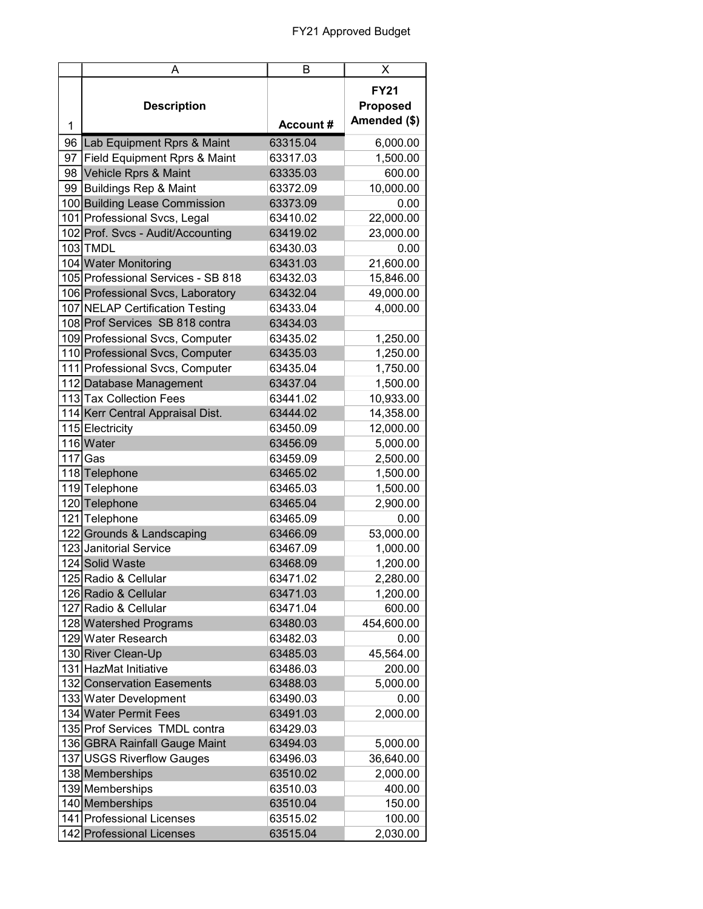|    | Α                                            | B         | X                                              |
|----|----------------------------------------------|-----------|------------------------------------------------|
| 1  | <b>Description</b>                           | Account # | <b>FY21</b><br><b>Proposed</b><br>Amended (\$) |
| 96 | Lab Equipment Rprs & Maint                   | 63315.04  | 6,000.00                                       |
| 97 | Field Equipment Rprs & Maint                 | 63317.03  | 1,500.00                                       |
|    | 98 Vehicle Rprs & Maint                      | 63335.03  | 600.00                                         |
|    | 99 Buildings Rep & Maint                     | 63372.09  | 10,000.00                                      |
|    | 100 Building Lease Commission                | 63373.09  | 0.00                                           |
|    | 101 Professional Svcs, Legal                 | 63410.02  | 22,000.00                                      |
|    | 102 Prof. Svcs - Audit/Accounting            | 63419.02  | 23,000.00                                      |
|    | 103 TMDL                                     | 63430.03  | 0.00                                           |
|    | 104 Water Monitoring                         | 63431.03  | 21,600.00                                      |
|    | 105 Professional Services - SB 818           | 63432.03  | 15,846.00                                      |
|    | 106 Professional Svcs, Laboratory            | 63432.04  | 49,000.00                                      |
|    | 107 NELAP Certification Testing              | 63433.04  | 4,000.00                                       |
|    | 108 Prof Services SB 818 contra              | 63434.03  |                                                |
|    | 109 Professional Svcs, Computer              | 63435.02  | 1,250.00                                       |
|    | 110 Professional Svcs, Computer              | 63435.03  | 1,250.00                                       |
|    | 111 Professional Svcs, Computer              | 63435.04  | 1,750.00                                       |
|    | 112 Database Management                      | 63437.04  | 1,500.00                                       |
|    | 113 Tax Collection Fees                      | 63441.02  | 10,933.00                                      |
|    |                                              | 63444.02  | 14,358.00                                      |
|    | 114 Kerr Central Appraisal Dist.             |           |                                                |
|    | 115 Electricity<br>116 Water                 | 63450.09  | 12,000.00                                      |
|    |                                              | 63456.09  | 5,000.00                                       |
|    | $117$ Gas                                    | 63459.09  | 2,500.00                                       |
|    | 118 Telephone                                | 63465.02  | 1,500.00                                       |
|    | 119 Telephone                                | 63465.03  | 1,500.00                                       |
|    | 120 Telephone                                | 63465.04  | 2,900.00                                       |
|    | 121 Telephone                                | 63465.09  | 0.00                                           |
|    | 122 Grounds & Landscaping                    | 63466.09  | 53,000.00                                      |
|    | 123 Janitorial Service                       | 63467.09  | 1,000.00                                       |
|    | 124 Solid Waste                              | 63468.09  | 1,200.00                                       |
|    | 125 Radio & Cellular                         | 63471.02  | 2,280.00                                       |
|    | 126 Radio & Cellular<br>127 Radio & Cellular | 63471.03  | 1,200.00                                       |
|    |                                              | 63471.04  | 600.00                                         |
|    | 128 Watershed Programs                       | 63480.03  | 454,600.00                                     |
|    | 129 Water Research                           | 63482.03  | 0.00                                           |
|    | 130 River Clean-Up                           | 63485.03  | 45,564.00                                      |
|    | 131 HazMat Initiative                        | 63486.03  | 200.00                                         |
|    | 132 Conservation Easements                   | 63488.03  | 5,000.00                                       |
|    | 133 Water Development                        | 63490.03  | 0.00                                           |
|    | 134 Water Permit Fees                        | 63491.03  | 2,000.00                                       |
|    | 135 Prof Services TMDL contra                | 63429.03  |                                                |
|    | 136 GBRA Rainfall Gauge Maint                | 63494.03  | 5,000.00                                       |
|    | 137 USGS Riverflow Gauges                    | 63496.03  | 36,640.00                                      |
|    | 138 Memberships                              | 63510.02  | 2,000.00                                       |
|    | 139 Memberships                              | 63510.03  | 400.00                                         |
|    | 140 Memberships                              | 63510.04  | 150.00                                         |
|    | 141 Professional Licenses                    | 63515.02  | 100.00                                         |
|    | 142 Professional Licenses                    | 63515.04  | 2,030.00                                       |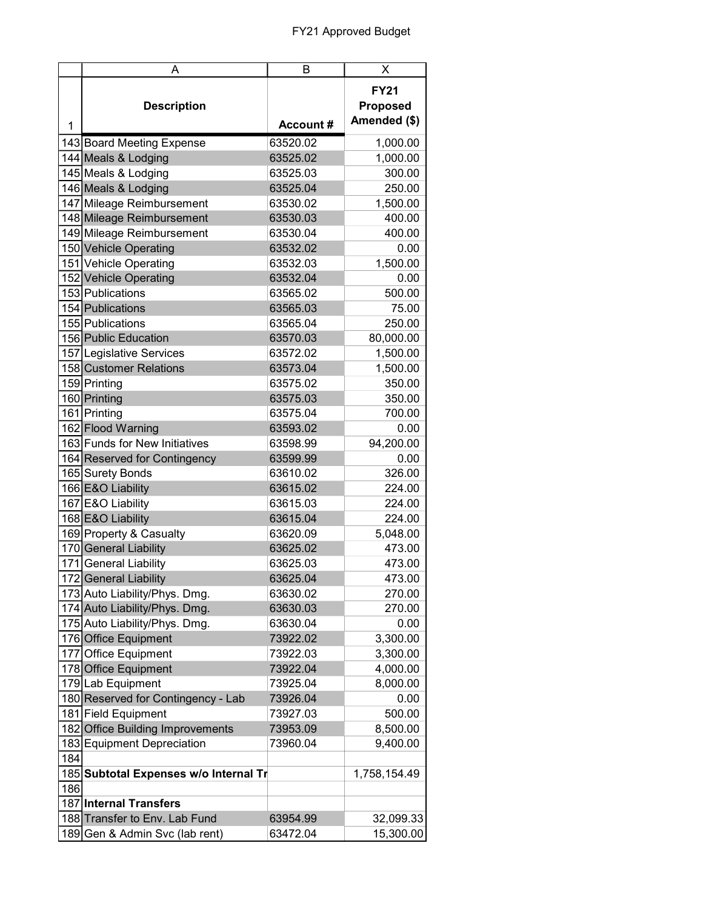|     | A                                     | В                    | X                                              |
|-----|---------------------------------------|----------------------|------------------------------------------------|
| 1   | <b>Description</b>                    | Account #            | <b>FY21</b><br><b>Proposed</b><br>Amended (\$) |
|     | 143 Board Meeting Expense             | 63520.02             | 1,000.00                                       |
|     | 144 Meals & Lodging                   | 63525.02             | 1,000.00                                       |
|     | 145 Meals & Lodging                   | 63525.03             | 300.00                                         |
|     | 146 Meals & Lodging                   | 63525.04             | 250.00                                         |
|     | 147 Mileage Reimbursement             | 63530.02             | 1,500.00                                       |
|     | 148 Mileage Reimbursement             | 63530.03             | 400.00                                         |
|     | 149 Mileage Reimbursement             | 63530.04             | 400.00                                         |
|     | 150 Vehicle Operating                 | 63532.02             | 0.00                                           |
|     | 151 Vehicle Operating                 | 63532.03             | 1,500.00                                       |
|     | 152 Vehicle Operating                 | 63532.04             | 0.00                                           |
|     | 153 Publications                      | 63565.02             | 500.00                                         |
|     | 154 Publications                      | 63565.03             | 75.00                                          |
|     | 155 Publications                      | 63565.04             | 250.00                                         |
|     | 156 Public Education                  | 63570.03             | 80,000.00                                      |
|     | 157 Legislative Services              | 63572.02             | 1,500.00                                       |
|     | 158 Customer Relations                | 63573.04             | 1,500.00                                       |
|     | 159 Printing                          | 63575.02             | 350.00                                         |
|     | 160 Printing                          | 63575.03             | 350.00                                         |
|     | 161 Printing                          | 63575.04             | 700.00                                         |
|     | 162 Flood Warning                     | 63593.02             | 0.00                                           |
|     | 163 Funds for New Initiatives         | 63598.99             | 94,200.00                                      |
|     | 164 Reserved for Contingency          | 63599.99             | 0.00                                           |
|     | 165 Surety Bonds                      | 63610.02             | 326.00                                         |
|     | 166 E&O Liability                     | 63615.02             | 224.00                                         |
|     | 167 E&O Liability                     | 63615.03             | 224.00                                         |
|     | 168 E&O Liability                     | 63615.04             | 224.00                                         |
|     |                                       |                      |                                                |
|     | 169 Property & Casualty               | 63620.09<br>63625.02 | 5,048.00                                       |
|     | 170 General Liability                 |                      | 473.00                                         |
|     | 171 General Liability                 | 63625.03<br>63625.04 | 473.00                                         |
|     | 172 General Liability                 |                      | 473.00                                         |
|     | 173 Auto Liability/Phys. Dmg.         | 63630.02             | 270.00                                         |
|     | 174 Auto Liability/Phys. Dmg.         | 63630.03             | 270.00                                         |
|     | 175 Auto Liability/Phys. Dmg.         | 63630.04             | 0.00                                           |
|     | 176 Office Equipment                  | 73922.02             | 3,300.00                                       |
|     | 177 Office Equipment                  | 73922.03             | 3,300.00                                       |
|     | 178 Office Equipment                  | 73922.04             | 4,000.00                                       |
|     | 179 Lab Equipment                     | 73925.04             | 8,000.00                                       |
|     | 180 Reserved for Contingency - Lab    | 73926.04             | 0.00                                           |
|     | 181 Field Equipment                   | 73927.03             | 500.00                                         |
|     | 182 Office Building Improvements      | 73953.09             | 8,500.00                                       |
|     | 183 Equipment Depreciation            | 73960.04             | 9,400.00                                       |
| 184 |                                       |                      |                                                |
|     | 185 Subtotal Expenses w/o Internal Tr |                      | 1,758,154.49                                   |
| 186 |                                       |                      |                                                |
|     | 187 Internal Transfers                |                      |                                                |
|     | 188 Transfer to Env. Lab Fund         | 63954.99             | 32,099.33                                      |
|     | 189 Gen & Admin Svc (lab rent)        | 63472.04             | 15,300.00                                      |